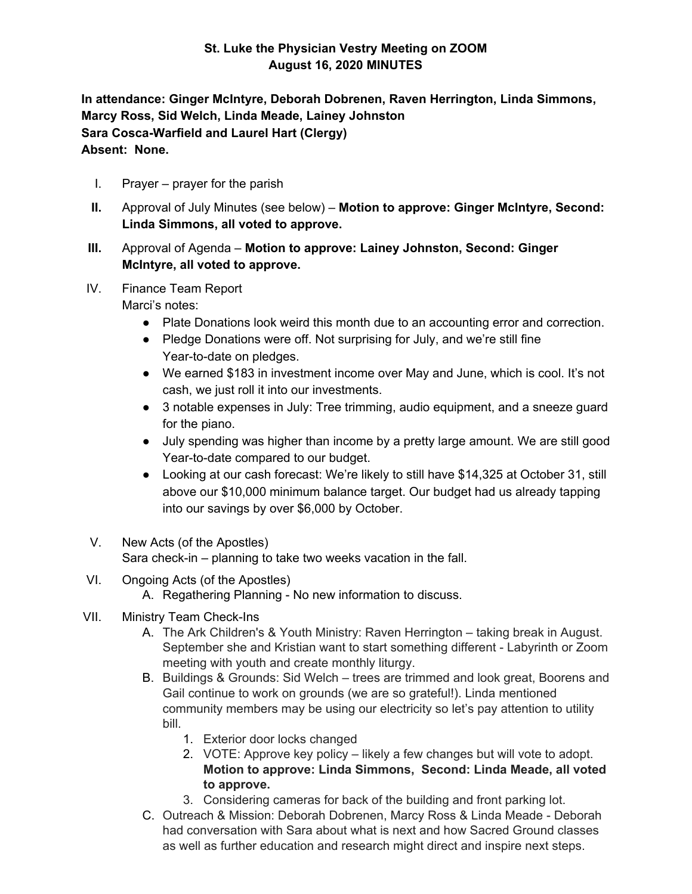## **St. Luke the Physician Vestry Meeting on ZOOM August 16, 2020 MINUTES**

**In attendance: Ginger McIntyre, Deborah Dobrenen, Raven Herrington, Linda Simmons, Marcy Ross, Sid Welch, Linda Meade, Lainey Johnston Sara Cosca-Warfield and Laurel Hart (Clergy) Absent: None.**

- I. Prayer prayer for the parish
- **II.** Approval of July Minutes (see below) **Motion to approve: Ginger McIntyre, Second: Linda Simmons, all voted to approve.**
- **III.** Approval of Agenda **Motion to approve: Lainey Johnston, Second: Ginger McIntyre, all voted to approve.**
- IV. Finance Team Report

Marci's notes:

- Plate Donations look weird this month due to an accounting error and correction.
- Pledge Donations were off. Not surprising for July, and we're still fine Year-to-date on pledges.
- We earned \$183 in investment income over May and June, which is cool. It's not cash, we just roll it into our investments.
- 3 notable expenses in July: Tree trimming, audio equipment, and a sneeze guard for the piano.
- July spending was higher than income by a pretty large amount. We are still good Year-to-date compared to our budget.
- Looking at our cash forecast: We're likely to still have \$14,325 at October 31, still above our \$10,000 minimum balance target. Our budget had us already tapping into our savings by over \$6,000 by October.
- V. New Acts (of the Apostles) Sara check-in – planning to take two weeks vacation in the fall.
- VI. Ongoing Acts (of the Apostles)
	- A. Regathering Planning No new information to discuss.
- VII. Ministry Team Check-Ins
	- A. The Ark Children's & Youth Ministry: Raven Herrington taking break in August. September she and Kristian want to start something different - Labyrinth or Zoom meeting with youth and create monthly liturgy.
	- B. Buildings & Grounds: Sid Welch trees are trimmed and look great, Boorens and Gail continue to work on grounds (we are so grateful!). Linda mentioned community members may be using our electricity so let's pay attention to utility bill.
		- 1. Exterior door locks changed
		- 2. VOTE: Approve key policy likely a few changes but will vote to adopt. **Motion to approve: Linda Simmons, Second: Linda Meade, all voted to approve.**
		- 3. Considering cameras for back of the building and front parking lot.
	- C. Outreach & Mission: Deborah Dobrenen, Marcy Ross & Linda Meade Deborah had conversation with Sara about what is next and how Sacred Ground classes as well as further education and research might direct and inspire next steps.